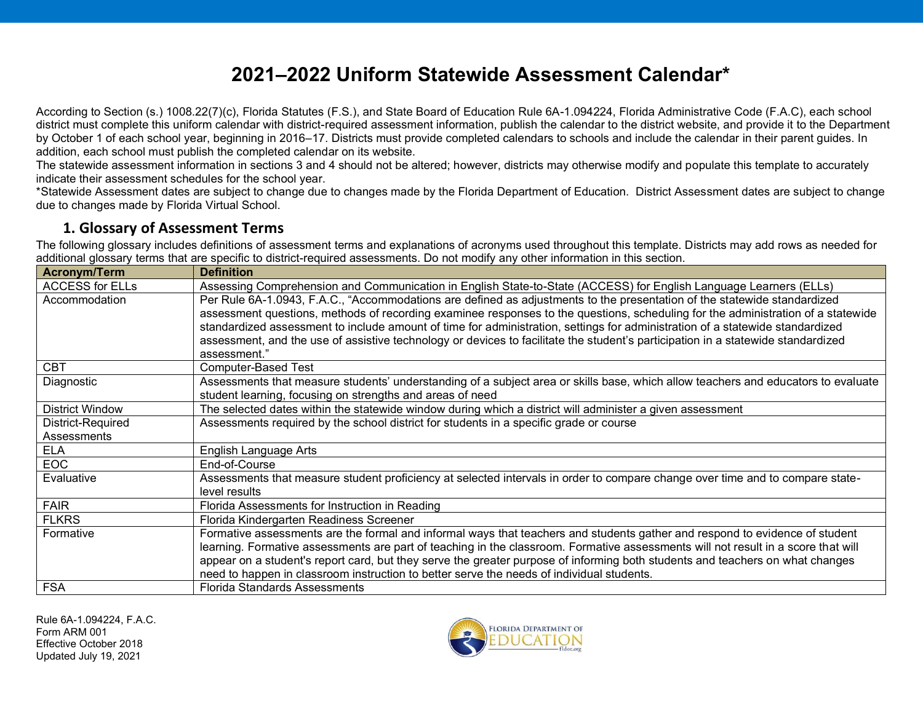# **2021–2022 Uniform Statewide Assessment Calendar\***

According to Section (s.) 1008.22(7)(c), Florida Statutes (F.S.), and State Board of Education Rule 6A-1.094224, Florida Administrative Code (F.A.C), each school district must complete this uniform calendar with district-required assessment information, publish the calendar to the district website, and provide it to the Department by October 1 of each school year, beginning in 2016–17. Districts must provide completed calendars to schools and include the calendar in their parent guides. In addition, each school must publish the completed calendar on its website.

The statewide assessment information in sections 3 and 4 should not be altered; however, districts may otherwise modify and populate this template to accurately indicate their assessment schedules for the school year.

\*Statewide Assessment dates are subject to change due to changes made by the Florida Department of Education. District Assessment dates are subject to change due to changes made by Florida Virtual School.

#### **1. Glossary of Assessment Terms**

The following glossary includes definitions of assessment terms and explanations of acronyms used throughout this template. Districts may add rows as needed for additional glossary terms that are specific to district-required assessments. Do not modify any other information in this section.

| <b>Acronym/Term</b>    | <b>Definition</b>                                                                                                                                                                                                                                                 |
|------------------------|-------------------------------------------------------------------------------------------------------------------------------------------------------------------------------------------------------------------------------------------------------------------|
| <b>ACCESS for ELLs</b> | Assessing Comprehension and Communication in English State-to-State (ACCESS) for English Language Learners (ELLs)                                                                                                                                                 |
| Accommodation          | Per Rule 6A-1.0943, F.A.C., "Accommodations are defined as adjustments to the presentation of the statewide standardized<br>assessment questions, methods of recording examinee responses to the questions, scheduling for the administration of a statewide      |
|                        | standardized assessment to include amount of time for administration, settings for administration of a statewide standardized<br>assessment, and the use of assistive technology or devices to facilitate the student's participation in a statewide standardized |
|                        | assessment."                                                                                                                                                                                                                                                      |
| <b>CBT</b>             | <b>Computer-Based Test</b>                                                                                                                                                                                                                                        |
| Diagnostic             | Assessments that measure students' understanding of a subject area or skills base, which allow teachers and educators to evaluate<br>student learning, focusing on strengths and areas of need                                                                    |
| <b>District Window</b> | The selected dates within the statewide window during which a district will administer a given assessment                                                                                                                                                         |
| District-Required      | Assessments required by the school district for students in a specific grade or course                                                                                                                                                                            |
| Assessments            |                                                                                                                                                                                                                                                                   |
| <b>ELA</b>             | English Language Arts                                                                                                                                                                                                                                             |
| <b>EOC</b>             | End-of-Course                                                                                                                                                                                                                                                     |
| Evaluative             | Assessments that measure student proficiency at selected intervals in order to compare change over time and to compare state-<br>level results                                                                                                                    |
| <b>FAIR</b>            | Florida Assessments for Instruction in Reading                                                                                                                                                                                                                    |
| <b>FLKRS</b>           | Florida Kindergarten Readiness Screener                                                                                                                                                                                                                           |
| Formative              | Formative assessments are the formal and informal ways that teachers and students gather and respond to evidence of student                                                                                                                                       |
|                        | learning. Formative assessments are part of teaching in the classroom. Formative assessments will not result in a score that will                                                                                                                                 |
|                        | appear on a student's report card, but they serve the greater purpose of informing both students and teachers on what changes                                                                                                                                     |
|                        | need to happen in classroom instruction to better serve the needs of individual students.                                                                                                                                                                         |
| <b>FSA</b>             | <b>Florida Standards Assessments</b>                                                                                                                                                                                                                              |

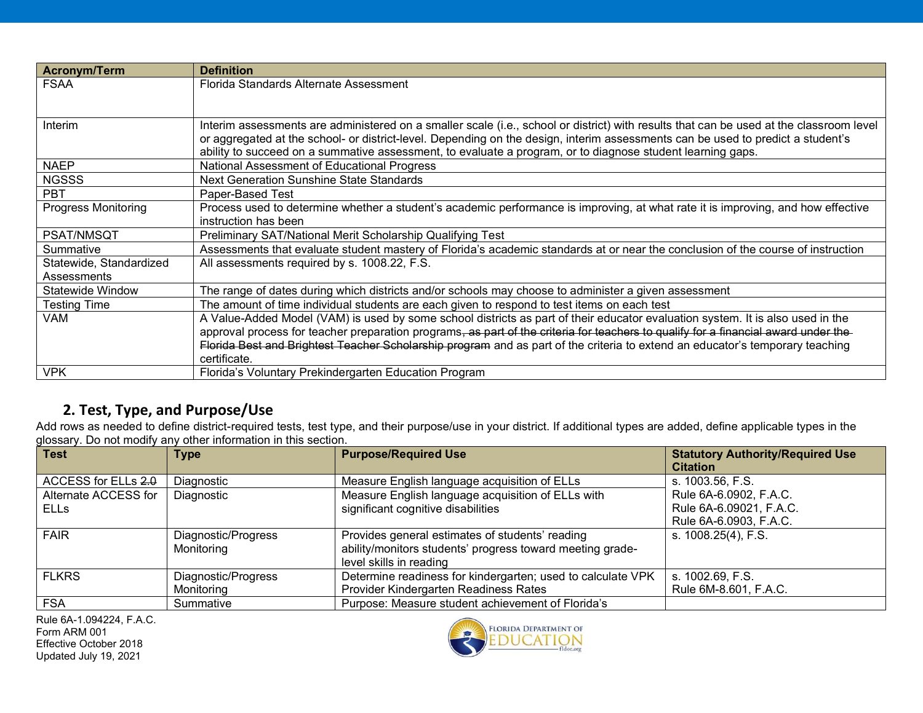| <b>Acronym/Term</b>        | <b>Definition</b>                                                                                                                       |
|----------------------------|-----------------------------------------------------------------------------------------------------------------------------------------|
| <b>FSAA</b>                | Florida Standards Alternate Assessment                                                                                                  |
|                            |                                                                                                                                         |
|                            |                                                                                                                                         |
| Interim                    | Interim assessments are administered on a smaller scale (i.e., school or district) with results that can be used at the classroom level |
|                            | or aggregated at the school- or district-level. Depending on the design, interim assessments can be used to predict a student's         |
|                            | ability to succeed on a summative assessment, to evaluate a program, or to diagnose student learning gaps.                              |
| <b>NAEP</b>                | National Assessment of Educational Progress                                                                                             |
| <b>NGSSS</b>               | Next Generation Sunshine State Standards                                                                                                |
| <b>PBT</b>                 | Paper-Based Test                                                                                                                        |
| <b>Progress Monitoring</b> | Process used to determine whether a student's academic performance is improving, at what rate it is improving, and how effective        |
|                            | instruction has been                                                                                                                    |
| <b>PSAT/NMSQT</b>          | Preliminary SAT/National Merit Scholarship Qualifying Test                                                                              |
| Summative                  | Assessments that evaluate student mastery of Florida's academic standards at or near the conclusion of the course of instruction        |
| Statewide, Standardized    | All assessments required by s. 1008.22, F.S.                                                                                            |
| Assessments                |                                                                                                                                         |
| Statewide Window           | The range of dates during which districts and/or schools may choose to administer a given assessment                                    |
| <b>Testing Time</b>        | The amount of time individual students are each given to respond to test items on each test                                             |
| VAM                        | A Value-Added Model (VAM) is used by some school districts as part of their educator evaluation system. It is also used in the          |
|                            | approval process for teacher preparation programs, as part of the criteria for teachers to qualify for a financial award under the      |
|                            | Florida Best and Brightest Teacher Scholarship program and as part of the criteria to extend an educator's temporary teaching           |
|                            | certificate.                                                                                                                            |
| <b>VPK</b>                 | Florida's Voluntary Prekindergarten Education Program                                                                                   |

## **2. Test, Type, and Purpose/Use**

Add rows as needed to define district-required tests, test type, and their purpose/use in your district. If additional types are added, define applicable types in the glossary. Do not modify any other information in this section.

| <b>Test</b>          | <b>Type</b>         | <b>Purpose/Required Use</b>                                 | <b>Statutory Authority/Required Use</b><br><b>Citation</b> |
|----------------------|---------------------|-------------------------------------------------------------|------------------------------------------------------------|
| ACCESS for ELLs 2.0  | Diagnostic          | Measure English language acquisition of ELLs                | s. 1003.56, F.S.                                           |
| Alternate ACCESS for | Diagnostic          | Measure English language acquisition of ELLs with           | Rule 6A-6.0902, F.A.C.                                     |
| <b>ELLS</b>          |                     | significant cognitive disabilities                          | Rule 6A-6.09021, F.A.C.                                    |
|                      |                     |                                                             | Rule 6A-6.0903, F.A.C.                                     |
| <b>FAIR</b>          | Diagnostic/Progress | Provides general estimates of students' reading             | s. 1008.25(4), F.S.                                        |
|                      | Monitoring          | ability/monitors students' progress toward meeting grade-   |                                                            |
|                      |                     | level skills in reading                                     |                                                            |
| <b>FLKRS</b>         | Diagnostic/Progress | Determine readiness for kindergarten; used to calculate VPK | s. 1002.69, F.S.                                           |
|                      | Monitoring          | Provider Kindergarten Readiness Rates                       | Rule 6M-8.601, F.A.C.                                      |
| <b>FSA</b>           | Summative           | Purpose: Measure student achievement of Florida's           |                                                            |

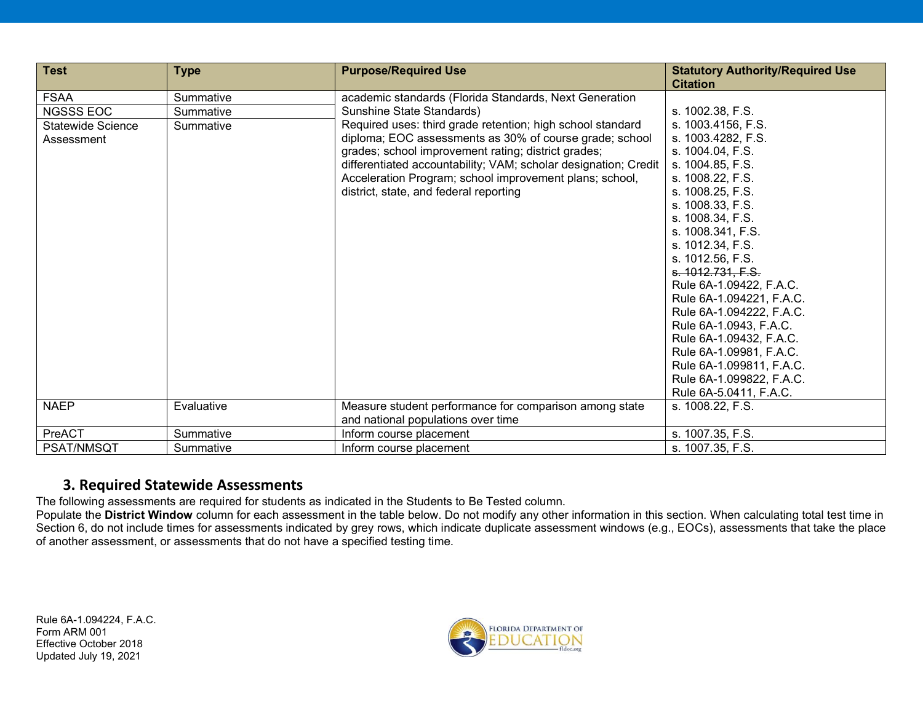| <b>Test</b>              | <b>Type</b> | <b>Purpose/Required Use</b>                                     | <b>Statutory Authority/Required Use</b><br><b>Citation</b> |
|--------------------------|-------------|-----------------------------------------------------------------|------------------------------------------------------------|
| <b>FSAA</b>              | Summative   | academic standards (Florida Standards, Next Generation          |                                                            |
| <b>NGSSS EOC</b>         | Summative   | Sunshine State Standards)                                       | s. 1002.38, F.S.                                           |
| <b>Statewide Science</b> | Summative   | Required uses: third grade retention; high school standard      | s. 1003.4156, F.S.                                         |
| Assessment               |             | diploma; EOC assessments as 30% of course grade; school         | s. 1003.4282, F.S.                                         |
|                          |             | grades; school improvement rating; district grades;             | s. 1004.04, F.S.                                           |
|                          |             | differentiated accountability; VAM; scholar designation; Credit | s. 1004.85, F.S.                                           |
|                          |             | Acceleration Program; school improvement plans; school,         | s. 1008.22, F.S.                                           |
|                          |             | district, state, and federal reporting                          | s. 1008.25, F.S.                                           |
|                          |             |                                                                 | s. 1008.33, F.S.                                           |
|                          |             |                                                                 | s. 1008.34, F.S.                                           |
|                          |             |                                                                 | s. 1008.341, F.S.                                          |
|                          |             |                                                                 | s. 1012.34, F.S.                                           |
|                          |             |                                                                 | s. 1012.56, F.S.                                           |
|                          |             |                                                                 | s. 1012.731. F.S.                                          |
|                          |             |                                                                 | Rule 6A-1.09422, F.A.C.                                    |
|                          |             |                                                                 | Rule 6A-1.094221, F.A.C.                                   |
|                          |             |                                                                 | Rule 6A-1.094222, F.A.C.                                   |
|                          |             |                                                                 | Rule 6A-1.0943, F.A.C.                                     |
|                          |             |                                                                 | Rule 6A-1.09432, F.A.C.                                    |
|                          |             |                                                                 | Rule 6A-1.09981, F.A.C.                                    |
|                          |             |                                                                 | Rule 6A-1.099811, F.A.C.                                   |
|                          |             |                                                                 | Rule 6A-1.099822, F.A.C.                                   |
|                          |             |                                                                 | Rule 6A-5.0411, F.A.C.                                     |
| <b>NAEP</b>              | Evaluative  | Measure student performance for comparison among state          | s. 1008.22, F.S.                                           |
|                          |             | and national populations over time                              |                                                            |
| PreACT                   | Summative   | Inform course placement                                         | s. 1007.35, F.S.                                           |
| <b>PSAT/NMSQT</b>        | Summative   | Inform course placement                                         | s. 1007.35, F.S.                                           |

#### **3. Required Statewide Assessments**

The following assessments are required for students as indicated in the Students to Be Tested column.

Populate the **District Window** column for each assessment in the table below. Do not modify any other information in this section. When calculating total test time in Section 6, do not include times for assessments indicated by grey rows, which indicate duplicate assessment windows (e.g., EOCs), assessments that take the place of another assessment, or assessments that do not have a specified testing time.

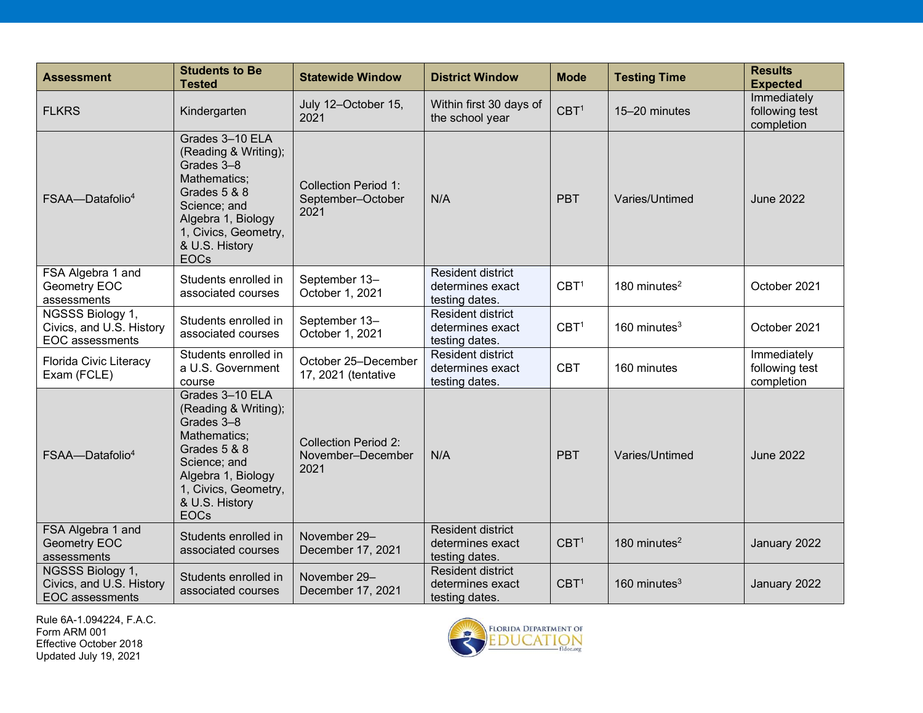| <b>Assessment</b>                                                      | <b>Students to Be</b><br><b>Tested</b>                                                                                                                                               | <b>Statewide Window</b>                                  | <b>District Window</b>                                         | <b>Mode</b>      | <b>Testing Time</b> | <b>Results</b><br><b>Expected</b>           |
|------------------------------------------------------------------------|--------------------------------------------------------------------------------------------------------------------------------------------------------------------------------------|----------------------------------------------------------|----------------------------------------------------------------|------------------|---------------------|---------------------------------------------|
| <b>FLKRS</b>                                                           | Kindergarten                                                                                                                                                                         | July 12-October 15,<br>2021                              | Within first 30 days of<br>the school year                     | CBT <sup>1</sup> | 15-20 minutes       | Immediately<br>following test<br>completion |
| FSAA-Datafolio <sup>4</sup>                                            | Grades 3-10 ELA<br>(Reading & Writing);<br>Grades 3-8<br>Mathematics;<br>Grades 5 & 8<br>Science; and<br>Algebra 1, Biology<br>1, Civics, Geometry,<br>& U.S. History<br><b>EOCs</b> | <b>Collection Period 1:</b><br>September-October<br>2021 | N/A                                                            | <b>PBT</b>       | Varies/Untimed      | <b>June 2022</b>                            |
| FSA Algebra 1 and<br>Geometry EOC<br>assessments                       | Students enrolled in<br>associated courses                                                                                                                                           | September 13-<br>October 1, 2021                         | <b>Resident district</b><br>determines exact<br>testing dates. | CBT <sup>1</sup> | 180 minutes $2$     | October 2021                                |
| NGSSS Biology 1,<br>Civics, and U.S. History<br><b>EOC</b> assessments | Students enrolled in<br>associated courses                                                                                                                                           | September 13-<br>October 1, 2021                         | <b>Resident district</b><br>determines exact<br>testing dates. | CBT <sup>1</sup> | 160 minutes $3$     | October 2021                                |
| <b>Florida Civic Literacy</b><br>Exam (FCLE)                           | Students enrolled in<br>a U.S. Government<br>course                                                                                                                                  | October 25-December<br>17, 2021 (tentative               | Resident district<br>determines exact<br>testing dates.        | <b>CBT</b>       | 160 minutes         | Immediately<br>following test<br>completion |
| FSAA-Datafolio <sup>4</sup>                                            | Grades 3-10 ELA<br>(Reading & Writing);<br>Grades 3-8<br>Mathematics;<br>Grades 5 & 8<br>Science; and<br>Algebra 1, Biology<br>1, Civics, Geometry,<br>& U.S. History<br><b>EOCs</b> | <b>Collection Period 2:</b><br>November-December<br>2021 | N/A                                                            | <b>PBT</b>       | Varies/Untimed      | <b>June 2022</b>                            |
| FSA Algebra 1 and<br>Geometry EOC<br>assessments                       | Students enrolled in<br>associated courses                                                                                                                                           | November 29-<br>December 17, 2021                        | <b>Resident district</b><br>determines exact<br>testing dates. | CBT <sup>1</sup> | 180 minutes $2$     | January 2022                                |
| NGSSS Biology 1,<br>Civics, and U.S. History<br><b>EOC</b> assessments | Students enrolled in<br>associated courses                                                                                                                                           | November 29-<br>December 17, 2021                        | <b>Resident district</b><br>determines exact<br>testing dates. | CBT <sup>1</sup> | 160 minutes $3$     | January 2022                                |

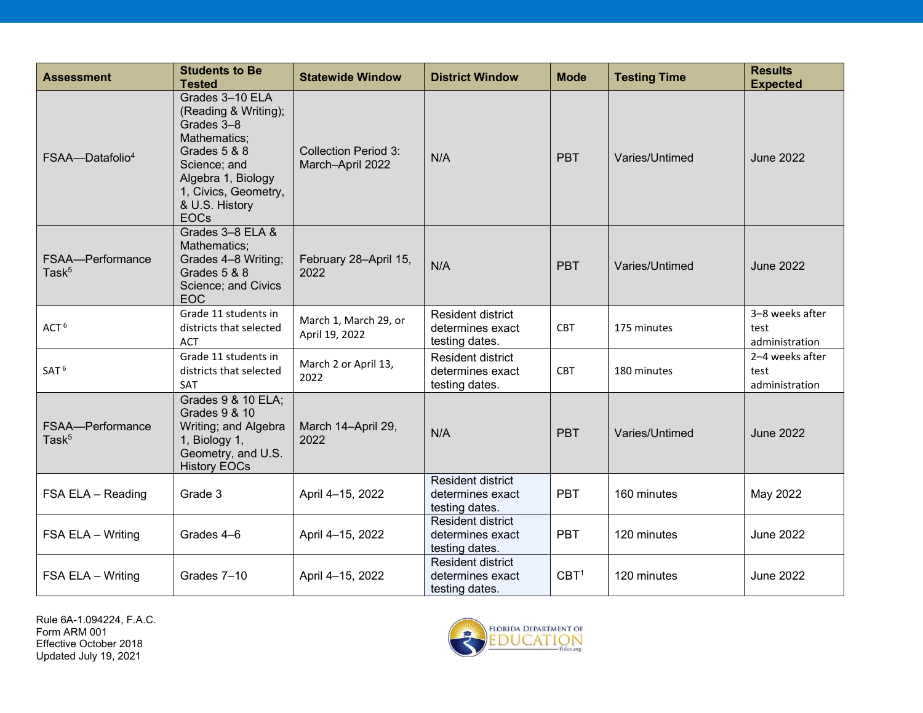| <b>Assessment</b>                     | <b>Students to Be</b><br><b>Tested</b>                                                                                                                                               | <b>Statewide Window</b>                         | <b>District Window</b>                                         | <b>Mode</b>      | <b>Testing Time</b> | <b>Results</b><br><b>Expected</b>         |
|---------------------------------------|--------------------------------------------------------------------------------------------------------------------------------------------------------------------------------------|-------------------------------------------------|----------------------------------------------------------------|------------------|---------------------|-------------------------------------------|
| FSAA-Datafolio <sup>4</sup>           | Grades 3-10 ELA<br>(Reading & Writing);<br>Grades 3-8<br>Mathematics;<br>Grades 5 & 8<br>Science; and<br>Algebra 1, Biology<br>1, Civics, Geometry,<br>& U.S. History<br><b>EOCs</b> | <b>Collection Period 3:</b><br>March-April 2022 | N/A                                                            | <b>PBT</b>       | Varies/Untimed      | <b>June 2022</b>                          |
| FSAA-Performance<br>Task <sup>5</sup> | Grades 3-8 ELA &<br>Mathematics;<br>Grades 4-8 Writing;<br>Grades 5 & 8<br>Science; and Civics<br>EOC                                                                                | February 28-April 15,<br>2022                   | N/A                                                            | <b>PBT</b>       | Varies/Untimed      | <b>June 2022</b>                          |
| ACT <sup>6</sup>                      | Grade 11 students in<br>districts that selected<br><b>ACT</b>                                                                                                                        | March 1, March 29, or<br>April 19, 2022         | Resident district<br>determines exact<br>testing dates.        | <b>CBT</b>       | 175 minutes         | 3-8 weeks after<br>test<br>administration |
| SAT <sup>6</sup>                      | Grade 11 students in<br>districts that selected<br>SAT                                                                                                                               | March 2 or April 13,<br>2022                    | <b>Resident district</b><br>determines exact<br>testing dates. | <b>CBT</b>       | 180 minutes         | 2-4 weeks after<br>test<br>administration |
| FSAA-Performance<br>Tas $k^5$         | Grades 9 & 10 ELA;<br>Grades 9 & 10<br>Writing; and Algebra<br>1, Biology 1,<br>Geometry, and U.S.<br><b>History EOCs</b>                                                            | March 14-April 29,<br>2022                      | N/A                                                            | <b>PBT</b>       | Varies/Untimed      | <b>June 2022</b>                          |
| FSA ELA - Reading                     | Grade 3                                                                                                                                                                              | April 4-15, 2022                                | <b>Resident district</b><br>determines exact<br>testing dates. | <b>PBT</b>       | 160 minutes         | May 2022                                  |
| FSA ELA - Writing                     | Grades 4-6                                                                                                                                                                           | April 4-15, 2022                                | Resident district<br>determines exact<br>testing dates.        | <b>PBT</b>       | 120 minutes         | <b>June 2022</b>                          |
| FSA ELA - Writing                     | Grades 7-10                                                                                                                                                                          | April 4-15, 2022                                | <b>Resident district</b><br>determines exact<br>testing dates. | CBT <sup>1</sup> | 120 minutes         | <b>June 2022</b>                          |

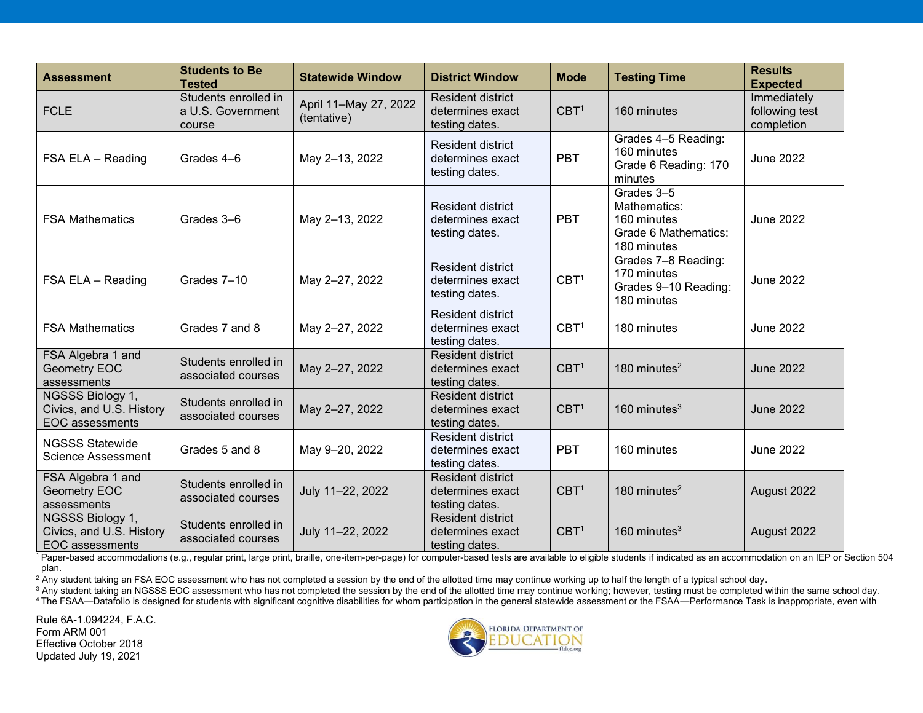| <b>Assessment</b>                                                      | <b>Students to Be</b><br><b>Tested</b>              | <b>Statewide Window</b>              | <b>District Window</b>                                         | <b>Mode</b>      | <b>Testing Time</b>                                                              | <b>Results</b><br><b>Expected</b>           |
|------------------------------------------------------------------------|-----------------------------------------------------|--------------------------------------|----------------------------------------------------------------|------------------|----------------------------------------------------------------------------------|---------------------------------------------|
| <b>FCLE</b>                                                            | Students enrolled in<br>a U.S. Government<br>course | April 11-May 27, 2022<br>(tentative) | <b>Resident district</b><br>determines exact<br>testing dates. | CBT <sup>1</sup> | 160 minutes                                                                      | Immediately<br>following test<br>completion |
| FSA ELA - Reading                                                      | Grades 4-6                                          | May 2-13, 2022                       | <b>Resident district</b><br>determines exact<br>testing dates. | <b>PBT</b>       | Grades 4-5 Reading:<br>160 minutes<br>Grade 6 Reading: 170<br>minutes            | <b>June 2022</b>                            |
| <b>FSA Mathematics</b>                                                 | Grades 3-6                                          | May 2-13, 2022                       | <b>Resident district</b><br>determines exact<br>testing dates. | <b>PBT</b>       | Grades 3-5<br>Mathematics:<br>160 minutes<br>Grade 6 Mathematics:<br>180 minutes | <b>June 2022</b>                            |
| FSA ELA - Reading                                                      | Grades 7-10                                         | May 2-27, 2022                       | <b>Resident district</b><br>determines exact<br>testing dates. | CBT <sup>1</sup> | Grades 7-8 Reading:<br>170 minutes<br>Grades 9-10 Reading:<br>180 minutes        | <b>June 2022</b>                            |
| <b>FSA Mathematics</b>                                                 | Grades 7 and 8                                      | May 2-27, 2022                       | <b>Resident district</b><br>determines exact<br>testing dates. | CBT <sup>1</sup> | 180 minutes                                                                      | <b>June 2022</b>                            |
| FSA Algebra 1 and<br>Geometry EOC<br>assessments                       | Students enrolled in<br>associated courses          | May 2-27, 2022                       | <b>Resident district</b><br>determines exact<br>testing dates. | CBT <sup>1</sup> | 180 minutes $2$                                                                  | June 2022                                   |
| NGSSS Biology 1,<br>Civics, and U.S. History<br><b>EOC</b> assessments | Students enrolled in<br>associated courses          | May 2-27, 2022                       | <b>Resident district</b><br>determines exact<br>testing dates. | CBT <sup>1</sup> | 160 minutes $3$                                                                  | June 2022                                   |
| <b>NGSSS Statewide</b><br><b>Science Assessment</b>                    | Grades 5 and 8                                      | May 9-20, 2022                       | <b>Resident district</b><br>determines exact<br>testing dates. | <b>PBT</b>       | 160 minutes                                                                      | June 2022                                   |
| FSA Algebra 1 and<br>Geometry EOC<br>assessments                       | Students enrolled in<br>associated courses          | July 11-22, 2022                     | <b>Resident district</b><br>determines exact<br>testing dates. | CBT <sup>1</sup> | 180 minutes $2$                                                                  | August 2022                                 |
| NGSSS Biology 1,<br>Civics, and U.S. History<br><b>EOC</b> assessments | Students enrolled in<br>associated courses          | July 11-22, 2022                     | <b>Resident district</b><br>determines exact<br>testing dates. | CBT <sup>1</sup> | 160 minutes $3$                                                                  | August 2022                                 |

<sup>1</sup> Paper-based accommodations (e.g., regular print, large print, braille, one-item-per-page) for computer-based tests are available to eligible students if indicated as an accommodation on an IEP or Section 504 plan.

 $2\text{ A}$ ny student taking an FSA EOC assessment who has not completed a session by the end of the allotted time may continue working up to half the length of a typical school day.

<sup>3</sup> Any student taking an NGSSS EOC assessment who has not completed the session by the end of the allotted time may continue working; however, testing must be completed within the same school day. 4 The FSAA—Datafolio is designed for students with significant cognitive disabilities for whom participation in the general statewide assessment or the FSAA—Performance Task is inappropriate, even with

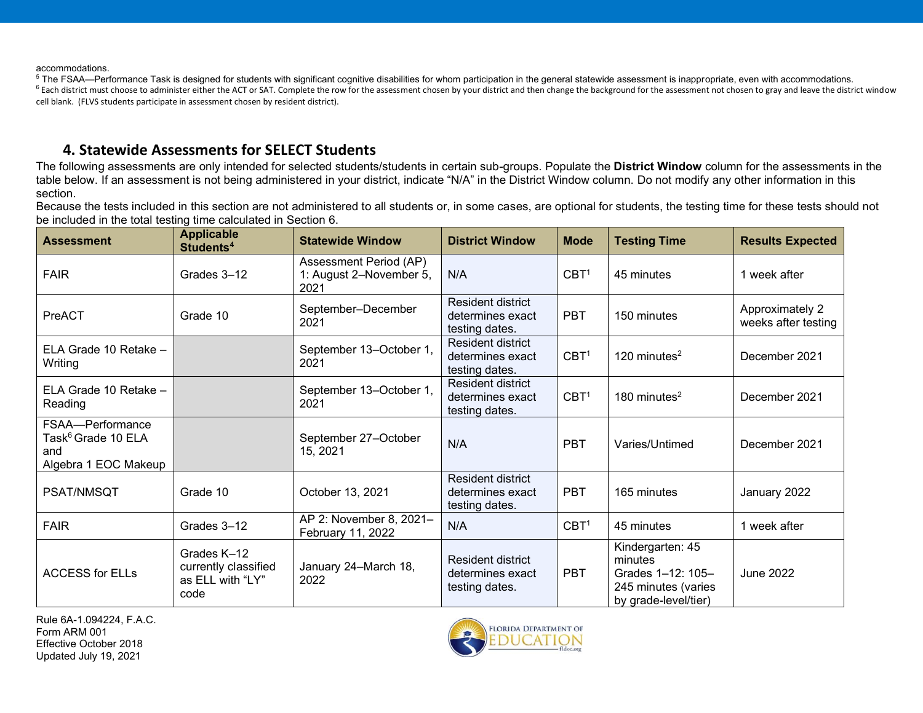accommodations.

<sup>5</sup> The FSAA—Performance Task is designed for students with significant cognitive disabilities for whom participation in the general statewide assessment is inappropriate, even with accommodations. <sup>6</sup> Each district must choose to administer either the ACT or SAT. Complete the row for the assessment chosen by your district and then change the background for the assessment not chosen to gray and leave the district win cell blank. (FLVS students participate in assessment chosen by resident district).

#### **4. Statewide Assessments for SELECT Students**

The following assessments are only intended for selected students/students in certain sub-groups. Populate the **District Window** column for the assessments in the table below. If an assessment is not being administered in your district, indicate "N/A" in the District Window column. Do not modify any other information in this section.

Because the tests included in this section are not administered to all students or, in some cases, are optional for students, the testing time for these tests should not be included in the total testing time calculated in Section 6.

| <b>Assessment</b>                                                                 | <b>Applicable</b><br>Students <sup>4</sup>                      | <b>Statewide Window</b>                                   | <b>District Window</b>                                         | <b>Mode</b>      | <b>Testing Time</b>                                                                             | <b>Results Expected</b>                |
|-----------------------------------------------------------------------------------|-----------------------------------------------------------------|-----------------------------------------------------------|----------------------------------------------------------------|------------------|-------------------------------------------------------------------------------------------------|----------------------------------------|
| <b>FAIR</b>                                                                       | Grades 3-12                                                     | Assessment Period (AP)<br>1: August 2-November 5,<br>2021 | N/A                                                            | CBT <sup>1</sup> | 45 minutes                                                                                      | 1 week after                           |
| PreACT                                                                            | Grade 10                                                        | September-December<br>2021                                | Resident district<br>determines exact<br>testing dates.        | <b>PBT</b>       | 150 minutes                                                                                     | Approximately 2<br>weeks after testing |
| ELA Grade 10 Retake -<br>Writing                                                  |                                                                 | September 13-October 1,<br>2021                           | <b>Resident district</b><br>determines exact<br>testing dates. | CBT <sup>1</sup> | 120 minutes $2$                                                                                 | December 2021                          |
| ELA Grade 10 Retake -<br>Reading                                                  |                                                                 | September 13-October 1,<br>2021                           | Resident district<br>determines exact<br>testing dates.        | CBT <sup>1</sup> | 180 minutes $2$                                                                                 | December 2021                          |
| FSAA-Performance<br>Task <sup>6</sup> Grade 10 ELA<br>and<br>Algebra 1 EOC Makeup |                                                                 | September 27-October<br>15, 2021                          | N/A                                                            | <b>PBT</b>       | Varies/Untimed                                                                                  | December 2021                          |
| PSAT/NMSQT                                                                        | Grade 10                                                        | October 13, 2021                                          | <b>Resident district</b><br>determines exact<br>testing dates. | <b>PBT</b>       | 165 minutes                                                                                     | January 2022                           |
| <b>FAIR</b>                                                                       | Grades 3-12                                                     | AP 2: November 8, 2021-<br>February 11, 2022              | N/A                                                            | CBT <sup>1</sup> | 45 minutes                                                                                      | 1 week after                           |
| <b>ACCESS for ELLs</b>                                                            | Grades K-12<br>currently classified<br>as ELL with "LY"<br>code | January 24-March 18,<br>2022                              | Resident district<br>determines exact<br>testing dates.        | <b>PBT</b>       | Kindergarten: 45<br>minutes<br>Grades 1-12: 105-<br>245 minutes (varies<br>by grade-level/tier) | June 2022                              |

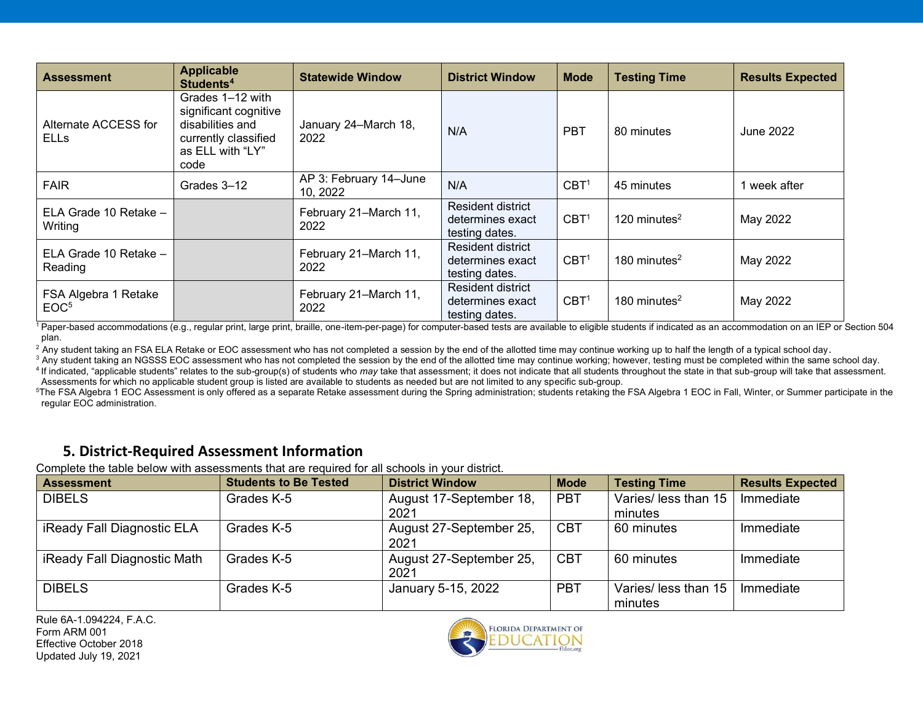| <b>Assessment</b>                        | <b>Applicable</b><br>Students <sup>4</sup>                                                                        | <b>Statewide Window</b>            | <b>District Window</b>                                  | <b>Mode</b>      | <b>Testing Time</b> | <b>Results Expected</b> |
|------------------------------------------|-------------------------------------------------------------------------------------------------------------------|------------------------------------|---------------------------------------------------------|------------------|---------------------|-------------------------|
| Alternate ACCESS for<br><b>ELLS</b>      | Grades 1-12 with<br>significant cognitive<br>disabilities and<br>currently classified<br>as ELL with "LY"<br>code | January 24-March 18,<br>2022       | N/A                                                     | <b>PBT</b>       | 80 minutes          | June 2022               |
| <b>FAIR</b>                              | Grades 3-12                                                                                                       | AP 3: February 14-June<br>10, 2022 | N/A                                                     | CBT <sup>1</sup> | 45 minutes          | week after              |
| ELA Grade 10 Retake -<br>Writing         |                                                                                                                   | February 21–March 11,<br>2022      | Resident district<br>determines exact<br>testing dates. | CBT <sup>1</sup> | 120 minutes $2$     | May 2022                |
| ELA Grade 10 Retake -<br>Reading         |                                                                                                                   | February 21–March 11,<br>2022      | Resident district<br>determines exact<br>testing dates. | CBT <sup>1</sup> | 180 minutes $2$     | May 2022                |
| FSA Algebra 1 Retake<br>EOC <sup>5</sup> |                                                                                                                   | February 21-March 11,<br>2022      | Resident district<br>determines exact<br>testing dates. | CBT <sup>1</sup> | 180 minutes $2$     | May 2022                |

<sup>1</sup> Paper-based accommodations (e.g., regular print, large print, braille, one-item-per-page) for computer-based tests are available to eligible students if indicated as an accommodation on an IEP or Section 504 plan.

<sup>2</sup> Any student taking an FSA ELA Retake or EOC assessment who has not completed a session by the end of the allotted time may continue working up to half the length of a typical school day.

<sup>3</sup> Any student taking an NGSSS EOC assessment who has not completed the session by the end of the allotted time may continue working; however, testing must be completed within the same school day. <sup>4</sup> If indicated, "applicable students" relates to the sub-group(s) of students who *may* take that assessment; it does not indicate that all students throughout the state in that sub-group will take that assessment. Assessments for which no applicable student group is listed are available to students as needed but are not limited to any specific sub-group.

<sup>5</sup>The FSA Algebra 1 EOC Assessment is only offered as a separate Retake assessment during the Spring administration; students retaking the FSA Algebra 1 EOC in Fall, Winter, or Summer participate in the regular EOC administration.

### **5. District-Required Assessment Information**

Complete the table below with assessments that are required for all schools in your district.

| <b>Assessment</b>           | <b>Students to Be Tested</b> | <b>District Window</b>  | <b>Mode</b> | <b>Testing Time</b>  | <b>Results Expected</b> |
|-----------------------------|------------------------------|-------------------------|-------------|----------------------|-------------------------|
| <b>DIBELS</b>               | Grades K-5                   | August 17-September 18, | <b>PBT</b>  | Varies/ less than 15 | Immediate               |
|                             |                              | 2021                    |             | minutes              |                         |
| iReady Fall Diagnostic ELA  | Grades K-5                   | August 27-September 25, | <b>CBT</b>  | 60 minutes           | Immediate               |
|                             |                              | 2021                    |             |                      |                         |
| iReady Fall Diagnostic Math | Grades K-5                   | August 27-September 25, | <b>CBT</b>  | 60 minutes           | Immediate               |
|                             |                              | 2021                    |             |                      |                         |
| <b>DIBELS</b>               | Grades K-5                   | January 5-15, 2022      | <b>PBT</b>  | Varies/ less than 15 | Immediate               |
|                             |                              |                         |             | minutes              |                         |

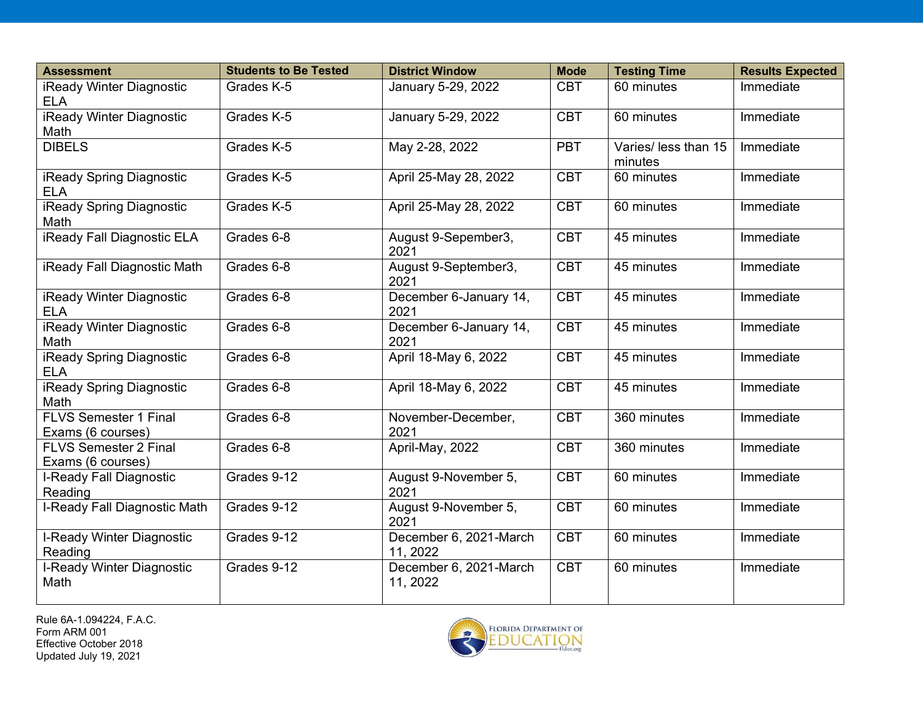| <b>Assessment</b>                                 | <b>Students to Be Tested</b> | <b>District Window</b>             | <b>Mode</b> | <b>Testing Time</b>             | <b>Results Expected</b> |
|---------------------------------------------------|------------------------------|------------------------------------|-------------|---------------------------------|-------------------------|
| iReady Winter Diagnostic<br><b>ELA</b>            | Grades K-5                   | January 5-29, 2022                 | <b>CBT</b>  | 60 minutes                      | Immediate               |
| iReady Winter Diagnostic<br>Math                  | Grades K-5                   | January 5-29, 2022                 | <b>CBT</b>  | 60 minutes                      | Immediate               |
| <b>DIBELS</b>                                     | Grades K-5                   | May 2-28, 2022                     | PBT         | Varies/ less than 15<br>minutes | Immediate               |
| iReady Spring Diagnostic<br><b>ELA</b>            | Grades K-5                   | April 25-May 28, 2022              | <b>CBT</b>  | 60 minutes                      | Immediate               |
| iReady Spring Diagnostic<br>Math                  | Grades K-5                   | April 25-May 28, 2022              | <b>CBT</b>  | 60 minutes                      | Immediate               |
| <b>iReady Fall Diagnostic ELA</b>                 | Grades 6-8                   | August 9-Sepember3,<br>2021        | <b>CBT</b>  | 45 minutes                      | Immediate               |
| iReady Fall Diagnostic Math                       | Grades 6-8                   | August 9-September3,<br>2021       | <b>CBT</b>  | 45 minutes                      | Immediate               |
| iReady Winter Diagnostic<br><b>ELA</b>            | Grades 6-8                   | December 6-January 14,<br>2021     | <b>CBT</b>  | 45 minutes                      | Immediate               |
| iReady Winter Diagnostic<br>Math                  | Grades 6-8                   | December 6-January 14,<br>2021     | <b>CBT</b>  | 45 minutes                      | Immediate               |
| iReady Spring Diagnostic<br><b>ELA</b>            | Grades 6-8                   | April 18-May 6, 2022               | <b>CBT</b>  | 45 minutes                      | Immediate               |
| iReady Spring Diagnostic<br>Math                  | Grades 6-8                   | April 18-May 6, 2022               | <b>CBT</b>  | 45 minutes                      | Immediate               |
| <b>FLVS Semester 1 Final</b><br>Exams (6 courses) | Grades 6-8                   | November-December,<br>2021         | <b>CBT</b>  | 360 minutes                     | Immediate               |
| <b>FLVS Semester 2 Final</b><br>Exams (6 courses) | Grades 6-8                   | April-May, 2022                    | <b>CBT</b>  | 360 minutes                     | Immediate               |
| I-Ready Fall Diagnostic<br>Reading                | Grades 9-12                  | August 9-November 5,<br>2021       | <b>CBT</b>  | 60 minutes                      | Immediate               |
| I-Ready Fall Diagnostic Math                      | Grades 9-12                  | August 9-November 5,<br>2021       | <b>CBT</b>  | 60 minutes                      | Immediate               |
| I-Ready Winter Diagnostic<br>Reading              | Grades 9-12                  | December 6, 2021-March<br>11, 2022 | <b>CBT</b>  | 60 minutes                      | Immediate               |
| I-Ready Winter Diagnostic<br>Math                 | Grades 9-12                  | December 6, 2021-March<br>11, 2022 | <b>CBT</b>  | 60 minutes                      | Immediate               |